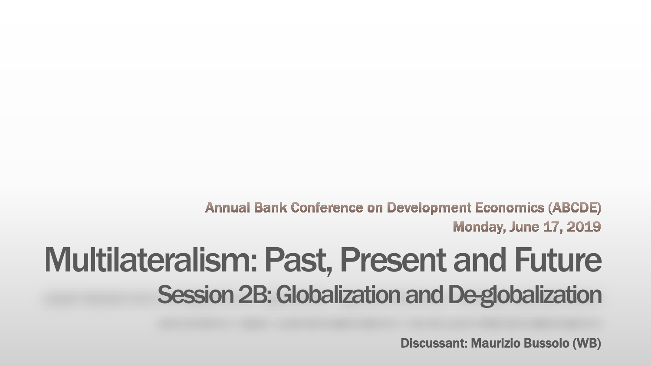**Annual Bank Conference on Development Economics (ABCDE) Monday, June 17, 2019** 

## Multilateralism: Past, Present and Future Session 2B: Globalization and De-globalization

Discussant: Maurizio Bussolo (WB)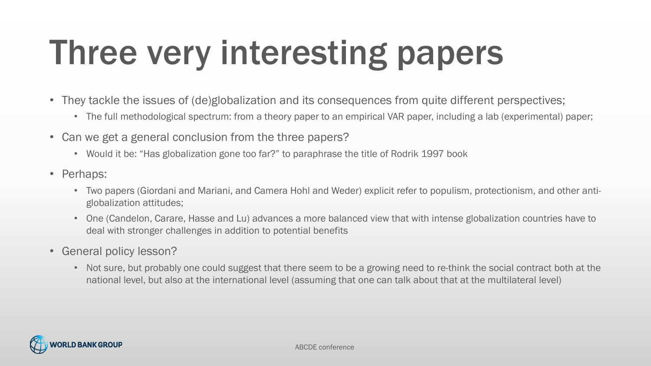# Three very interesting papers

- They tackle the issues of (de)globalization and its consequences from quite different perspectives;
	- The full methodological spectrum: from a theory paper to an empirical VAR paper, including a lab (experimental) paper;
- Can we get a general conclusion from the three papers?
	- Would it be: "Has globalization gone too far?" to paraphrase the title of Rodrik 1997 book
- Perhaps:
	- Two papers (Giordani and Mariani, and Camera Hohl and Weder) explicit refer to populism, protectionism, and other antiglobalization attitudes;
	- One (Candelon, Carare, Hasse and Lu) advances a more balanced view that with intense globalization countries have to deal with stronger challenges in addition to potential benefits
- General policy lesson?
	- Not sure, but probably one could suggest that there seem to be a growing need to re-think the social contract both at the national level, but also at the international level (assuming that one can talk about that at the multilateral level)

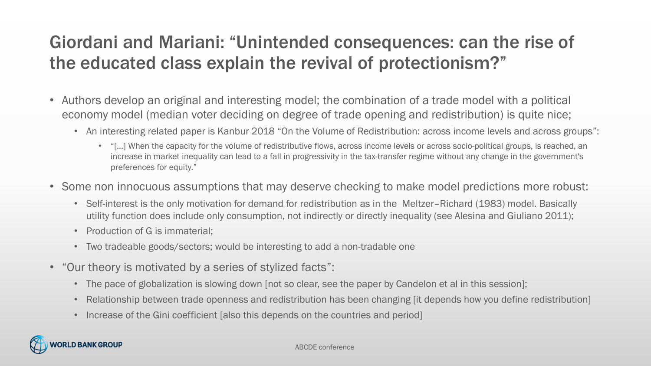#### Giordani and Mariani: "Unintended consequences: can the rise of the educated class explain the revival of protectionism?"

- Authors develop an original and interesting model; the combination of a trade model with a political economy model (median voter deciding on degree of trade opening and redistribution) is quite nice;
	- An interesting related paper is Kanbur 2018 "On the Volume of Redistribution: across income levels and across groups":
		- "[…] When the capacity for the volume of redistributive flows, across income levels or across socio-political groups, is reached, an increase in market inequality can lead to a fall in progressivity in the tax-transfer regime without any change in the government's preferences for equity."
- Some non innocuous assumptions that may deserve checking to make model predictions more robust:
	- Self-interest is the only motivation for demand for redistribution as in the Meltzer–Richard (1983) model. Basically utility function does include only consumption, not indirectly or directly inequality (see Alesina and Giuliano 2011);
	- Production of G is immaterial:
	- Two tradeable goods/sectors; would be interesting to add a non-tradable one
- "Our theory is motivated by a series of stylized facts":
	- The pace of globalization is slowing down [not so clear, see the paper by Candelon et al in this session];
	- Relationship between trade openness and redistribution has been changing [it depends how you define redistribution]
	- Increase of the Gini coefficient [also this depends on the countries and period]

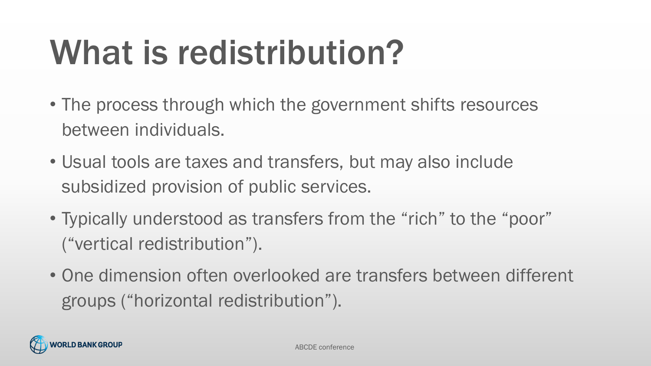# What is redistribution?

- The process through which the government shifts resources between individuals.
- Usual tools are taxes and transfers, but may also include subsidized provision of public services.
- Typically understood as transfers from the "rich" to the "poor" ("vertical redistribution").
- One dimension often overlooked are transfers between different groups ("horizontal redistribution").

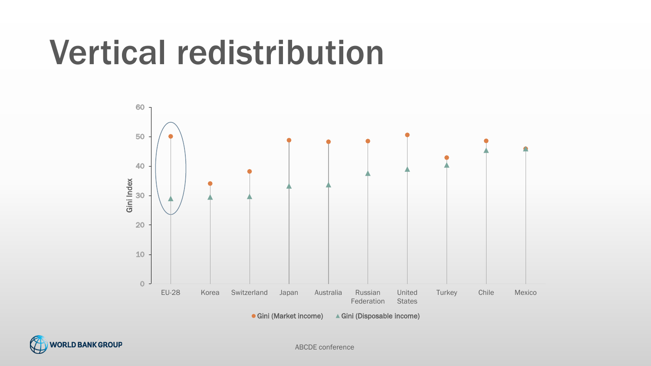## Vertical redistribution





ABCDE conference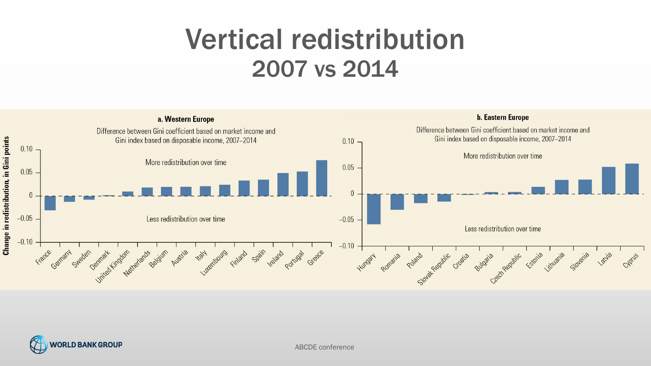## Vertical redistribution 2007 vs 2014





ABCDE conference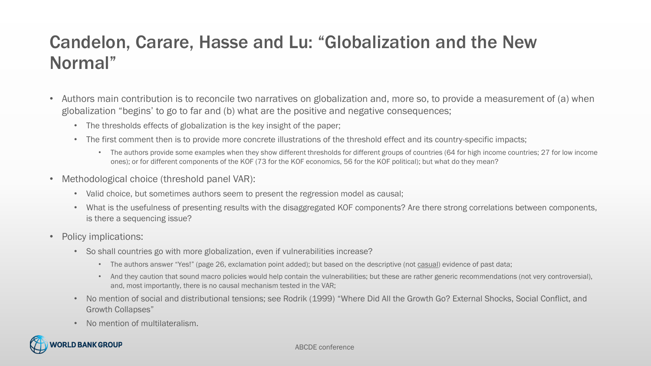### Candelon, Carare, Hasse and Lu: "Globalization and the New Normal"

- Authors main contribution is to reconcile two narratives on globalization and, more so, to provide a measurement of (a) when globalization "begins' to go to far and (b) what are the positive and negative consequences;
	- The thresholds effects of globalization is the key insight of the paper;
	- The first comment then is to provide more concrete illustrations of the threshold effect and its country-specific impacts;
		- The authors provide some examples when they show different thresholds for different groups of countries (64 for high income countries; 27 for low income ones); or for different components of the KOF (73 for the KOF economics, 56 for the KOF political); but what do they mean?
- Methodological choice (threshold panel VAR):
	- Valid choice, but sometimes authors seem to present the regression model as causal;
	- What is the usefulness of presenting results with the disaggregated KOF components? Are there strong correlations between components, is there a sequencing issue?
- Policy implications:
	- So shall countries go with more globalization, even if vulnerabilities increase?
		- The authors answer "Yes!" (page 26, exclamation point added); but based on the descriptive (not casual) evidence of past data;
		- And they caution that sound macro policies would help contain the vulnerabilities; but these are rather generic recommendations (not very controversial), and, most importantly, there is no causal mechanism tested in the VAR;
	- No mention of social and distributional tensions; see Rodrik (1999) "Where Did All the Growth Go? External Shocks, Social Conflict, and Growth Collapses"
	- No mention of multilateralism.



#### ABCDE conference